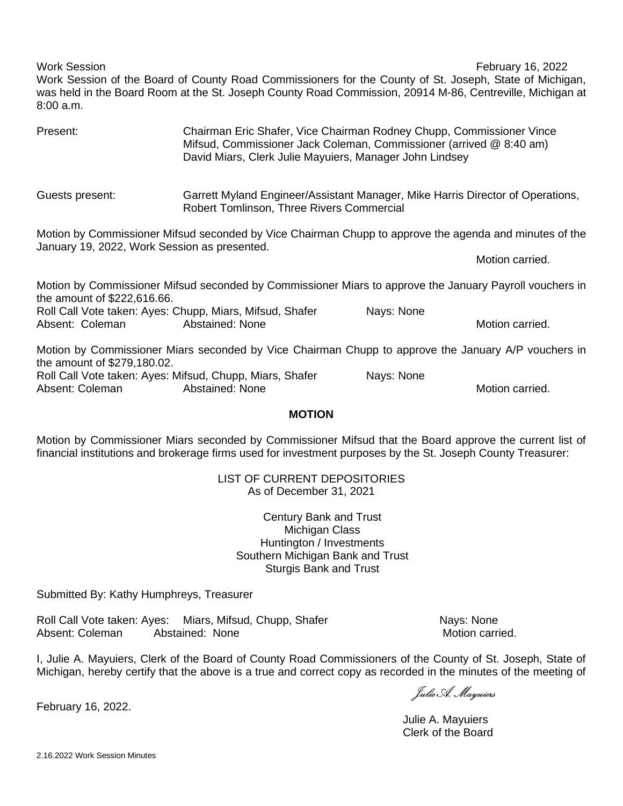Work Session **February 16, 2022** Work Session of the Board of County Road Commissioners for the County of St. Joseph, State of Michigan, was held in the Board Room at the St. Joseph County Road Commission, 20914 M-86, Centreville, Michigan at 8:00 a.m.

| Present:                                     | Chairman Eric Shafer, Vice Chairman Rodney Chupp, Commissioner Vince<br>Mifsud, Commissioner Jack Coleman, Commissioner (arrived @ 8:40 am)<br>David Miars, Clerk Julie Mayuiers, Manager John Lindsey |            |                 |
|----------------------------------------------|--------------------------------------------------------------------------------------------------------------------------------------------------------------------------------------------------------|------------|-----------------|
| Guests present:                              | Garrett Myland Engineer/Assistant Manager, Mike Harris Director of Operations,<br>Robert Tomlinson, Three Rivers Commercial                                                                            |            |                 |
|                                              | Motion by Commissioner Mifsud seconded by Vice Chairman Chupp to approve the agenda and minutes of the                                                                                                 |            |                 |
| January 19, 2022, Work Session as presented. |                                                                                                                                                                                                        |            | Motion carried. |
| the amount of \$222,616.66.                  | Motion by Commissioner Mifsud seconded by Commissioner Miars to approve the January Payroll vouchers in                                                                                                |            |                 |
|                                              | Roll Call Vote taken: Ayes: Chupp, Miars, Mifsud, Shafer                                                                                                                                               | Nays: None |                 |
| Absent: Coleman                              | Abstained: None                                                                                                                                                                                        |            | Motion carried. |
| the amount of \$279,180.02.                  | Motion by Commissioner Miars seconded by Vice Chairman Chupp to approve the January A/P vouchers in                                                                                                    |            |                 |
|                                              | Roll Call Vote taken: Ayes: Mifsud, Chupp, Miars, Shafer                                                                                                                                               | Nays: None |                 |
| Absent: Coleman                              | Abstained: None                                                                                                                                                                                        |            | Motion carried. |

### **MOTION**

Motion by Commissioner Miars seconded by Commissioner Mifsud that the Board approve the current list of financial institutions and brokerage firms used for investment purposes by the St. Joseph County Treasurer:

> LIST OF CURRENT DEPOSITORIES As of December 31, 2021

> > Century Bank and Trust Michigan Class Huntington / Investments Southern Michigan Bank and Trust Sturgis Bank and Trust

Submitted By: Kathy Humphreys, Treasurer

Roll Call Vote taken: Ayes: Miars, Mifsud, Chupp, Shafer Nays: None Absent: Coleman Abstained: None Motion carried.

I, Julie A. Mayuiers, Clerk of the Board of County Road Commissioners of the County of St. Joseph, State of Michigan, hereby certify that the above is a true and correct copy as recorded in the minutes of the meeting of

Julie A. Mayuiers

Julie A. Mayuiers Clerk of the Board

February 16, 2022.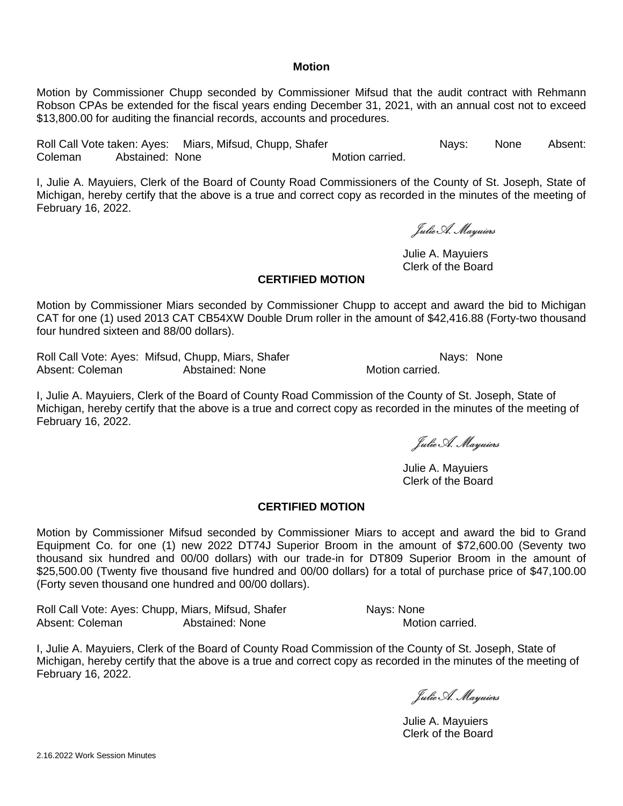#### **Motion**

Motion by Commissioner Chupp seconded by Commissioner Mifsud that the audit contract with Rehmann Robson CPAs be extended for the fiscal years ending December 31, 2021, with an annual cost not to exceed \$13,800.00 for auditing the financial records, accounts and procedures.

Roll Call Vote taken: Ayes: Miars, Mifsud, Chupp, Shafer Nays: None Absent: Coleman Abstained: None **Motion Coleman** Abstained: None

I, Julie A. Mayuiers, Clerk of the Board of County Road Commissioners of the County of St. Joseph, State of Michigan, hereby certify that the above is a true and correct copy as recorded in the minutes of the meeting of February 16, 2022.

Julie A. Mayuiers

Julie A. Mayuiers Clerk of the Board

#### **CERTIFIED MOTION**

Motion by Commissioner Miars seconded by Commissioner Chupp to accept and award the bid to Michigan CAT for one (1) used 2013 CAT CB54XW Double Drum roller in the amount of \$42,416.88 (Forty-two thousand four hundred sixteen and 88/00 dollars).

Roll Call Vote: Ayes: Mifsud, Chupp, Miars, Shafer National Research Nays: None Absent: Coleman **Abstained: None** Motion carried.

I, Julie A. Mayuiers, Clerk of the Board of County Road Commission of the County of St. Joseph, State of Michigan, hereby certify that the above is a true and correct copy as recorded in the minutes of the meeting of February 16, 2022.

Julie A. Mayuiers

Julie A. Mayuiers Clerk of the Board

### **CERTIFIED MOTION**

Motion by Commissioner Mifsud seconded by Commissioner Miars to accept and award the bid to Grand Equipment Co. for one (1) new 2022 DT74J Superior Broom in the amount of \$72,600.00 (Seventy two thousand six hundred and 00/00 dollars) with our trade-in for DT809 Superior Broom in the amount of \$25,500.00 (Twenty five thousand five hundred and 00/00 dollars) for a total of purchase price of \$47,100.00 (Forty seven thousand one hundred and 00/00 dollars).

Roll Call Vote: Ayes: Chupp, Miars, Mifsud, Shafer Nays: None Absent: Coleman **Abstained: None** Motion carried.

Julie A. Mayuiers

Julie A. Mayuiers Clerk of the Board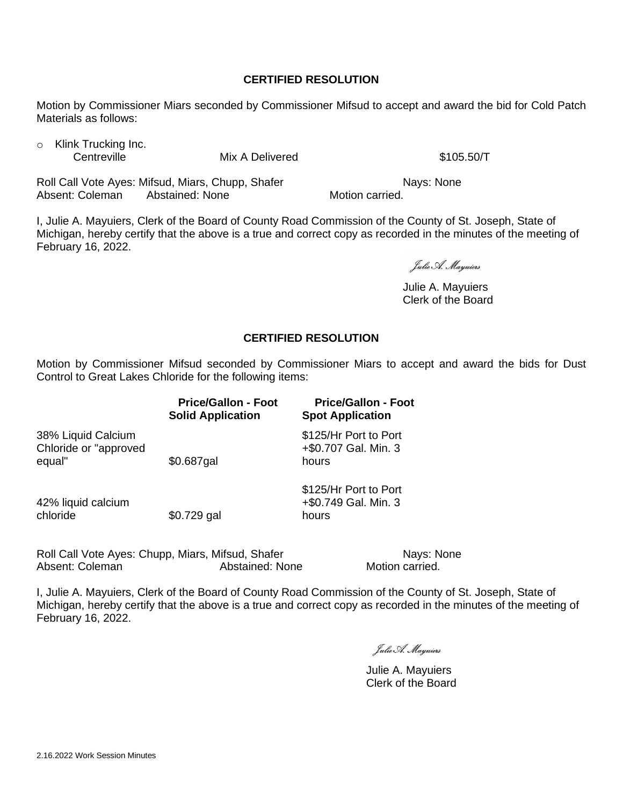# **CERTIFIED RESOLUTION**

Motion by Commissioner Miars seconded by Commissioner Mifsud to accept and award the bid for Cold Patch Materials as follows:

o Klink Trucking Inc.

Centreville Mix A Delivered \$105.50/T

Roll Call Vote Ayes: Mifsud, Miars, Chupp, Shafer Nays: None Absent: Coleman Abstained: None Motion carried.

I, Julie A. Mayuiers, Clerk of the Board of County Road Commission of the County of St. Joseph, State of Michigan, hereby certify that the above is a true and correct copy as recorded in the minutes of the meeting of February 16, 2022.

Julie A. Mayuiers

Julie A. Mayuiers Clerk of the Board

# **CERTIFIED RESOLUTION**

Motion by Commissioner Mifsud seconded by Commissioner Miars to accept and award the bids for Dust Control to Great Lakes Chloride for the following items:

|                                                       | <b>Price/Gallon - Foot</b><br><b>Solid Application</b> | <b>Price/Gallon - Foot</b><br><b>Spot Application</b>  |
|-------------------------------------------------------|--------------------------------------------------------|--------------------------------------------------------|
| 38% Liquid Calcium<br>Chloride or "approved<br>equal" | \$0.687gal                                             | \$125/Hr Port to Port<br>+\$0.707 Gal. Min. 3<br>hours |
| 42% liquid calcium<br>chloride                        | $$0.729$ gal                                           | \$125/Hr Port to Port<br>+\$0.749 Gal. Min. 3<br>hours |

Roll Call Vote Ayes: Chupp, Miars, Mifsud, Shafer Nays: None Absent: Coleman **Abstained: None** Motion carried.

Julie A. Mayuiers

Julie A. Mayuiers Clerk of the Board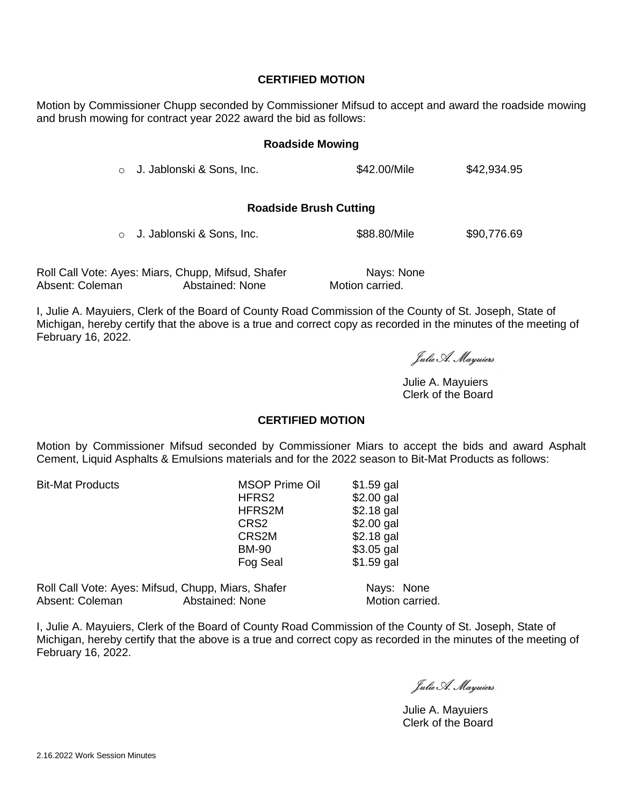### **CERTIFIED MOTION**

Motion by Commissioner Chupp seconded by Commissioner Mifsud to accept and award the roadside mowing and brush mowing for contract year 2022 award the bid as follows:

### **Roadside Mowing**

 $\circ$  J. Jablonski & Sons. Inc.  $\bullet$  \$42.00/Mile \$42.934.95

#### **Roadside Brush Cutting**

 $\circ$  J. Jablonski & Sons, Inc.  $$88.80/Mile$   $$90,776.69$ 

Roll Call Vote: Ayes: Miars, Chupp, Mifsud, Shafer Nays: None Absent: Coleman Abstained: None Motion carried.

I, Julie A. Mayuiers, Clerk of the Board of County Road Commission of the County of St. Joseph, State of Michigan, hereby certify that the above is a true and correct copy as recorded in the minutes of the meeting of February 16, 2022.

Julie A. Mayuiers

Julie A. Mayuiers Clerk of the Board

# **CERTIFIED MOTION**

Motion by Commissioner Mifsud seconded by Commissioner Miars to accept the bids and award Asphalt Cement, Liquid Asphalts & Emulsions materials and for the 2022 season to Bit-Mat Products as follows:

Bit-Mat Products MSOP Prime Oil \$1.59 gal HFRS2 \$2.00 gal<br>HFRS2M \$2.18 gal  $$2.18$  gal CRS2 \$2.00 gal CRS2M \$2.18 gal BM-90 \$3.05 gal Fog Seal \$1.59 gal

Roll Call Vote: Ayes: Mifsud, Chupp, Miars, Shafer Nays: None Absent: Coleman **Abstained: None** Motion carried.

Julie A. Mayuiers

Julie A. Mayuiers Clerk of the Board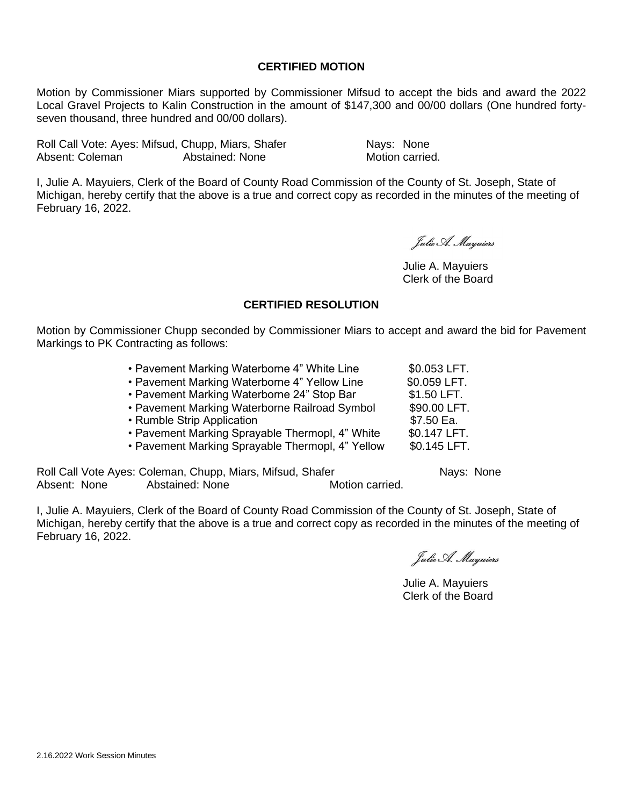# **CERTIFIED MOTION**

Motion by Commissioner Miars supported by Commissioner Mifsud to accept the bids and award the 2022 Local Gravel Projects to Kalin Construction in the amount of \$147,300 and 00/00 dollars (One hundred fortyseven thousand, three hundred and 00/00 dollars).

Roll Call Vote: Ayes: Mifsud, Chupp, Miars, Shafer Nays: None Absent: Coleman **Abstained: None** Motion carried.

I, Julie A. Mayuiers, Clerk of the Board of County Road Commission of the County of St. Joseph, State of Michigan, hereby certify that the above is a true and correct copy as recorded in the minutes of the meeting of February 16, 2022.

Eulie A. Mariuers

Julie A. Mayuiers Clerk of the Board

# **CERTIFIED RESOLUTION**

Motion by Commissioner Chupp seconded by Commissioner Miars to accept and award the bid for Pavement Markings to PK Contracting as follows:

| • Pavement Marking Waterborne 4" White Line      | \$0.053 LFT. |
|--------------------------------------------------|--------------|
| • Pavement Marking Waterborne 4" Yellow Line     | \$0.059 LFT. |
| • Pavement Marking Waterborne 24" Stop Bar       | \$1.50 LFT.  |
| • Pavement Marking Waterborne Railroad Symbol    | \$90.00 LFT. |
| • Rumble Strip Application                       | \$7.50 Ea.   |
| • Pavement Marking Sprayable Thermopl, 4" White  | \$0.147 LFT. |
| • Pavement Marking Sprayable Thermopl, 4" Yellow | \$0.145 LFT. |

Roll Call Vote Ayes: Coleman, Chupp, Miars, Mifsud, Shafer Nays: None Absent: None Abstained: None Motion carried.

Julie A. Mayuiers

Julie A. Mayuiers Clerk of the Board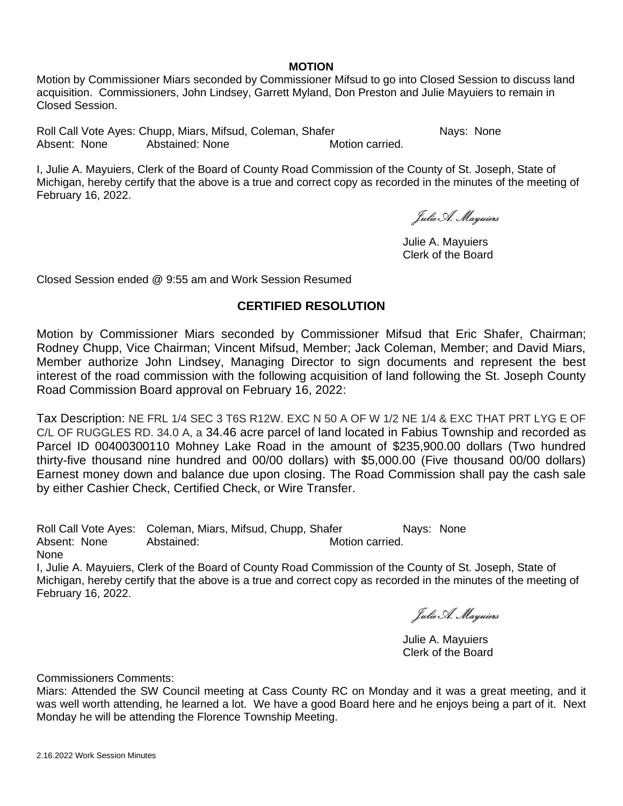#### **MOTION**

Motion by Commissioner Miars seconded by Commissioner Mifsud to go into Closed Session to discuss land acquisition. Commissioners, John Lindsey, Garrett Myland, Don Preston and Julie Mayuiers to remain in Closed Session.

Roll Call Vote Ayes: Chupp, Miars, Mifsud, Coleman, Shafer Nays: None Absent: None Abstained: None Motion carried.

I, Julie A. Mayuiers, Clerk of the Board of County Road Commission of the County of St. Joseph, State of Michigan, hereby certify that the above is a true and correct copy as recorded in the minutes of the meeting of February 16, 2022.

Julie A. Mayuiers

Julie A. Mayuiers Clerk of the Board

Closed Session ended @ 9:55 am and Work Session Resumed

# **CERTIFIED RESOLUTION**

Motion by Commissioner Miars seconded by Commissioner Mifsud that Eric Shafer, Chairman; Rodney Chupp, Vice Chairman; Vincent Mifsud, Member; Jack Coleman, Member; and David Miars, Member authorize John Lindsey, Managing Director to sign documents and represent the best interest of the road commission with the following acquisition of land following the St. Joseph County Road Commission Board approval on February 16, 2022:

Tax Description: NE FRL 1/4 SEC 3 T6S R12W. EXC N 50 A OF W 1/2 NE 1/4 & EXC THAT PRT LYG E OF C/L OF RUGGLES RD. 34.0 A, a 34.46 acre parcel of land located in Fabius Township and recorded as Parcel ID 00400300110 Mohney Lake Road in the amount of \$235,900.00 dollars (Two hundred thirty-five thousand nine hundred and 00/00 dollars) with \$5,000.00 (Five thousand 00/00 dollars) Earnest money down and balance due upon closing. The Road Commission shall pay the cash sale by either Cashier Check, Certified Check, or Wire Transfer.

Roll Call Vote Ayes: Coleman, Miars, Mifsud, Chupp, Shafer Nays: None Absent: None Abstained: Motion carried. None

I, Julie A. Mayuiers, Clerk of the Board of County Road Commission of the County of St. Joseph, State of Michigan, hereby certify that the above is a true and correct copy as recorded in the minutes of the meeting of February 16, 2022.

Julie A. Mayuiers

Julie A. Mayuiers Clerk of the Board

Commissioners Comments:

Miars: Attended the SW Council meeting at Cass County RC on Monday and it was a great meeting, and it was well worth attending, he learned a lot. We have a good Board here and he enjoys being a part of it. Next Monday he will be attending the Florence Township Meeting.